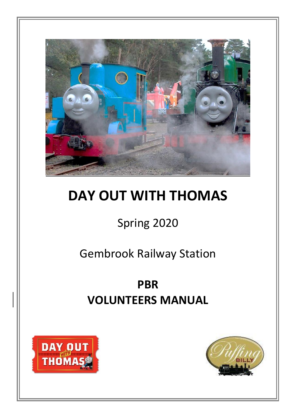

# **DAY OUT WITH THOMAS**

## Spring 2020

## Gembrook Railway Station

## **PBR VOLUNTEERS MANUAL**



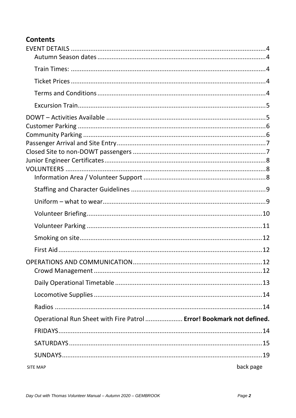## **Contents**

| Operational Run Sheet with Fire Patrol  Error! Bookmark not defined. |           |
|----------------------------------------------------------------------|-----------|
|                                                                      |           |
|                                                                      |           |
|                                                                      |           |
| <b>SITE MAP</b>                                                      | back page |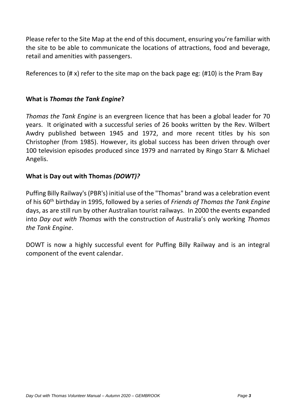Please refer to the Site Map at the end of this document, ensuring you're familiar with the site to be able to communicate the locations of attractions, food and beverage, retail and amenities with passengers.

References to  $(\# x)$  refer to the site map on the back page eg:  $(\# 10)$  is the Pram Bay

## **What is** *Thomas the Tank Engine***?**

*Thomas the Tank Engine* is an evergreen licence that has been a global leader for 70 years. It originated with a successful series of 26 books written by the Rev. Wilbert Awdry published between 1945 and 1972, and more recent titles by his son Christopher (from 1985). However, its global success has been driven through over 100 television episodes produced since 1979 and narrated by Ringo Starr & Michael Angelis.

## **What is Day out with Thomas** *(DOWT)?*

Puffing Billy Railway's (PBR's) initial use of the "Thomas" brand was a celebration event of his 60<sup>th</sup> birthday in 1995, followed by a series of *Friends of Thomas the Tank Engine* days, as are still run by other Australian tourist railways. In 2000 the events expanded into *Day out with Thomas* with the construction of Australia's only working *Thomas the Tank Engine*.

DOWT is now a highly successful event for Puffing Billy Railway and is an integral component of the event calendar.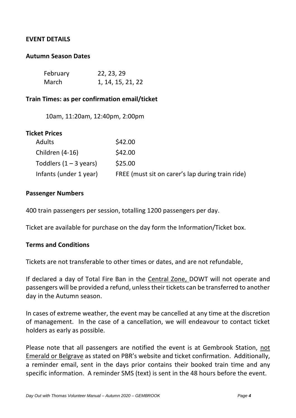#### <span id="page-3-0"></span>**EVENT DETAILS**

#### <span id="page-3-1"></span>**Autumn Season Dates**

| February | 22, 23, 29        |
|----------|-------------------|
| March    | 1, 14, 15, 21, 22 |

#### <span id="page-3-2"></span>**Train Times: as per confirmation email/ticket**

10am, 11:20am, 12:40pm, 2:00pm

<span id="page-3-3"></span>

| Ticket Prices            |                                                  |
|--------------------------|--------------------------------------------------|
| <b>Adults</b>            | \$42.00                                          |
| Children (4-16)          | \$42.00                                          |
| Toddlers $(1 - 3$ years) | \$25.00                                          |
| Infants (under 1 year)   | FREE (must sit on carer's lap during train ride) |

#### **Passenger Numbers**

400 train passengers per session, totalling 1200 passengers per day.

Ticket are available for purchase on the day form the Information/Ticket box.

#### <span id="page-3-4"></span>**Terms and Conditions**

Tickets are not transferable to other times or dates, and are not refundable,

If declared a day of Total Fire Ban in the Central Zone, DOWT will not operate and passengers will be provided a refund, unless their tickets can be transferred to another day in the Autumn season.

In cases of extreme weather, the event may be cancelled at any time at the discretion of management. In the case of a cancellation, we will endeavour to contact ticket holders as early as possible.

Please note that all passengers are notified the event is at Gembrook Station, not Emerald or Belgrave as stated on PBR's website and ticket confirmation. Additionally, a reminder email, sent in the days prior contains their booked train time and any specific information. A reminder SMS (text) is sent in the 48 hours before the event.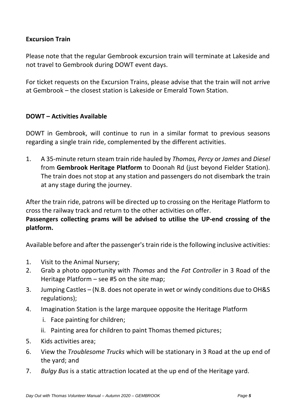## <span id="page-4-0"></span>**Excursion Train**

Please note that the regular Gembrook excursion train will terminate at Lakeside and not travel to Gembrook during DOWT event days.

For ticket requests on the Excursion Trains, please advise that the train will not arrive at Gembrook – the closest station is Lakeside or Emerald Town Station.

#### <span id="page-4-1"></span>**DOWT – Activities Available**

DOWT in Gembrook, will continue to run in a similar format to previous seasons regarding a single train ride, complemented by the different activities.

1. A 35-minute return steam train ride hauled by *Thomas, Percy* or *James* and *Diesel* from **Gembrook Heritage Platform** to Doonah Rd (just beyond Fielder Station). The train does not stop at any station and passengers do not disembark the train at any stage during the journey.

After the train ride, patrons will be directed up to crossing on the Heritage Platform to cross the railway track and return to the other activities on offer.

**Passengers collecting prams will be advised to utilise the UP-end crossing of the platform.**

Available before and after the passenger'strain ride isthe following inclusive activities:

- 1. Visit to the Animal Nursery;
- 2. Grab a photo opportunity with *Thomas* and the *Fat Controller* in 3 Road of the Heritage Platform – see #5 on the site map;
- 3. Jumping Castles (N.B. does not operate in wet or windy conditions due to OH&S regulations);
- 4. Imagination Station is the large marquee opposite the Heritage Platform
	- i. Face painting for children;
	- ii. Painting area for children to paint Thomas themed pictures;
- 5. Kids activities area;
- 6. View the *Troublesome Trucks* which will be stationary in 3 Road at the up end of the yard; and
- 7. *Bulgy Bus* is a static attraction located at the up end of the Heritage yard.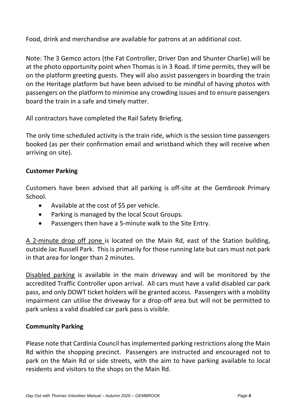Food, drink and merchandise are available for patrons at an additional cost.

Note: The 3 Gemco actors (the Fat Controller, Driver Dan and Shunter Charlie) will be at the photo opportunity point when Thomas is in 3 Road. If time permits, they will be on the platform greeting guests. They will also assist passengers in boarding the train on the Heritage platform but have been advised to be mindful of having photos with passengers on the platform to minimise any crowding issues and to ensure passengers board the train in a safe and timely matter.

All contractors have completed the Rail Safety Briefing.

The only time scheduled activity is the train ride, which is the session time passengers booked (as per their confirmation email and wristband which they will receive when arriving on site).

## <span id="page-5-0"></span>**Customer Parking**

Customers have been advised that all parking is off-site at the Gembrook Primary School.

- Available at the cost of \$5 per vehicle.
- Parking is managed by the local Scout Groups.
- Passengers then have a 5-minute walk to the Site Entry.

A 2-minute drop off zone is located on the Main Rd, east of the Station building, outside Jac Russell Park. This is primarily for those running late but cars must not park in that area for longer than 2 minutes.

Disabled parking is available in the main driveway and will be monitored by the accredited Traffic Controller upon arrival. All cars must have a valid disabled car park pass, and only DOWT ticket holders will be granted access. Passengers with a mobility impairment can utilise the driveway for a drop-off area but will not be permitted to park unless a valid disabled car park pass is visible.

#### <span id="page-5-1"></span>**Community Parking**

Please note that Cardinia Council has implemented parking restrictions along the Main Rd within the shopping precinct. Passengers are instructed and encouraged not to park on the Main Rd or side streets, with the aim to have parking available to local residents and visitors to the shops on the Main Rd.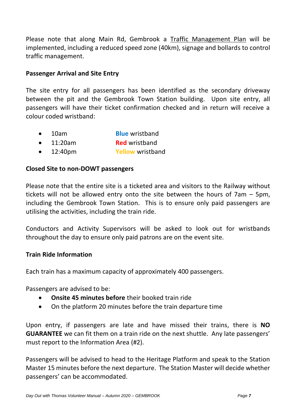Please note that along Main Rd, Gembrook a Traffic Management Plan will be implemented, including a reduced speed zone (40km), signage and bollards to control traffic management.

## <span id="page-6-0"></span>**Passenger Arrival and Site Entry**

The site entry for all passengers has been identified as the secondary driveway between the pit and the Gembrook Town Station building. Upon site entry, all passengers will have their ticket confirmation checked and in return will receive a colour coded wristband:

- 10am **Blue** wristband
- 11:20am **Red** wristband
- 12:40pm **Yellow** wristband

## <span id="page-6-1"></span>**Closed Site to non-DOWT passengers**

Please note that the entire site is a ticketed area and visitors to the Railway without tickets will not be allowed entry onto the site between the hours of 7am – 5pm, including the Gembrook Town Station. This is to ensure only paid passengers are utilising the activities, including the train ride.

Conductors and Activity Supervisors will be asked to look out for wristbands throughout the day to ensure only paid patrons are on the event site.

## **Train Ride Information**

Each train has a maximum capacity of approximately 400 passengers.

Passengers are advised to be:

- **Onsite 45 minutes before** their booked train ride
- On the platform 20 minutes before the train departure time

Upon entry, if passengers are late and have missed their trains, there is **NO GUARANTEE** we can fit them on a train ride on the next shuttle. Any late passengers' must report to the Information Area (#2).

Passengers will be advised to head to the Heritage Platform and speak to the Station Master 15 minutes before the next departure. The Station Master will decide whether passengers' can be accommodated.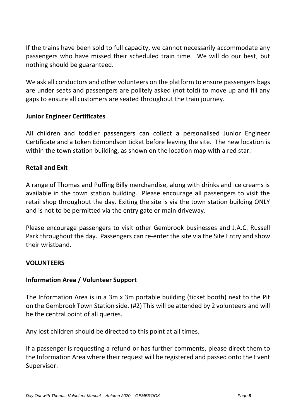If the trains have been sold to full capacity, we cannot necessarily accommodate any passengers who have missed their scheduled train time. We will do our best, but nothing should be guaranteed.

We ask all conductors and other volunteers on the platform to ensure passengers bags are under seats and passengers are politely asked (not told) to move up and fill any gaps to ensure all customers are seated throughout the train journey.

#### <span id="page-7-0"></span>**Junior Engineer Certificates**

All children and toddler passengers can collect a personalised Junior Engineer Certificate and a token Edmondson ticket before leaving the site. The new location is within the town station building, as shown on the location map with a red star.

#### **Retail and Exit**

A range of Thomas and Puffing Billy merchandise, along with drinks and ice creams is available in the town station building. Please encourage all passengers to visit the retail shop throughout the day. Exiting the site is via the town station building ONLY and is not to be permitted via the entry gate or main driveway.

Please encourage passengers to visit other Gembrook businesses and J.A.C. Russell Park throughout the day. Passengers can re-enter the site via the Site Entry and show their wristband.

#### <span id="page-7-1"></span>**VOLUNTEERS**

#### <span id="page-7-2"></span>**Information Area / Volunteer Support**

The Information Area is in a 3m x 3m portable building (ticket booth) next to the Pit on the Gembrook Town Station side. (#2) This will be attended by 2 volunteers and will be the central point of all queries.

Any lost children should be directed to this point at all times.

If a passenger is requesting a refund or has further comments, please direct them to the Information Area where their request will be registered and passed onto the Event Supervisor.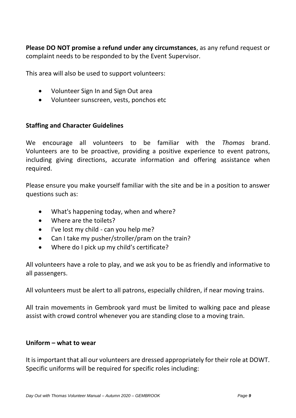**Please DO NOT promise a refund under any circumstances**, as any refund request or complaint needs to be responded to by the Event Supervisor.

This area will also be used to support volunteers:

- Volunteer Sign In and Sign Out area
- Volunteer sunscreen, vests, ponchos etc

#### <span id="page-8-0"></span>**Staffing and Character Guidelines**

We encourage all volunteers to be familiar with the *Thomas* brand. Volunteers are to be proactive, providing a positive experience to event patrons, including giving directions, accurate information and offering assistance when required.

Please ensure you make yourself familiar with the site and be in a position to answer questions such as:

- What's happening today, when and where?
- Where are the toilets?
- I've lost my child can you help me?
- Can I take my pusher/stroller/pram on the train?
- Where do I pick up my child's certificate?

All volunteers have a role to play, and we ask you to be as friendly and informative to all passengers.

All volunteers must be alert to all patrons, especially children, if near moving trains.

All train movements in Gembrook yard must be limited to walking pace and please assist with crowd control whenever you are standing close to a moving train.

#### <span id="page-8-1"></span>**Uniform – what to wear**

It is important that all our volunteers are dressed appropriately for their role at DOWT. Specific uniforms will be required for specific roles including: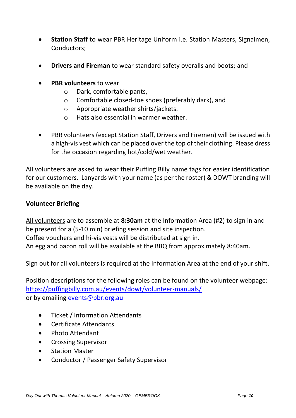- **Station Staff** to wear PBR Heritage Uniform i.e. Station Masters, Signalmen, Conductors;
- **Drivers and Fireman** to wear standard safety overalls and boots; and
- **PBR volunteers** to wear
	- o Dark, comfortable pants,
	- o Comfortable closed-toe shoes (preferably dark), and
	- o Appropriate weather shirts/jackets.
	- o Hats also essential in warmer weather.
- PBR volunteers (except Station Staff, Drivers and Firemen) will be issued with a high-vis vest which can be placed over the top of their clothing. Please dress for the occasion regarding hot/cold/wet weather.

All volunteers are asked to wear their Puffing Billy name tags for easier identification for our customers. Lanyards with your name (as per the roster) & DOWT branding will be available on the day.

#### <span id="page-9-0"></span>**Volunteer Briefing**

All volunteers are to assemble at **8:30am** at the Information Area (#2) to sign in and be present for a (5-10 min) briefing session and site inspection. Coffee vouchers and hi-vis vests will be distributed at sign in. An egg and bacon roll will be available at the BBQ from approximately 8:40am.

Sign out for all volunteers is required at the Information Area at the end of your shift.

Position descriptions for the following roles can be found on the volunteer webpage: <https://puffingbilly.com.au/events/dowt/volunteer-manuals/> or by emailing [events@pbr.org.au](mailto:events@pbr.org.au)

- Ticket / Information Attendants
- Certificate Attendants
- Photo Attendant
- Crossing Supervisor
- Station Master
- Conductor / Passenger Safety Supervisor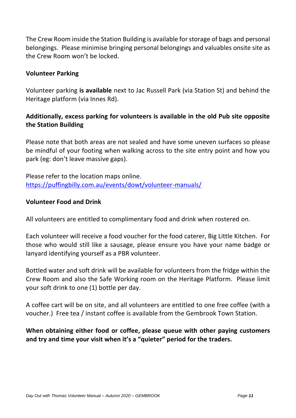The Crew Room inside the Station Building is available for storage of bags and personal belongings. Please minimise bringing personal belongings and valuables onsite site as the Crew Room won't be locked.

## <span id="page-10-0"></span>**Volunteer Parking**

Volunteer parking **is available** next to Jac Russell Park (via Station St) and behind the Heritage platform (via Innes Rd).

## **Additionally, excess parking for volunteers is available in the old Pub site opposite the Station Building**

Please note that both areas are not sealed and have some uneven surfaces so please be mindful of your footing when walking across to the site entry point and how you park (eg: don't leave massive gaps).

Please refer to the location maps online. <https://puffingbilly.com.au/events/dowt/volunteer-manuals/>

#### **Volunteer Food and Drink**

All volunteers are entitled to complimentary food and drink when rostered on.

Each volunteer will receive a food voucher for the food caterer, Big Little Kitchen. For those who would still like a sausage, please ensure you have your name badge or lanyard identifying yourself as a PBR volunteer.

Bottled water and soft drink will be available for volunteers from the fridge within the Crew Room and also the Safe Working room on the Heritage Platform. Please limit your soft drink to one (1) bottle per day.

A coffee cart will be on site, and all volunteers are entitled to one free coffee (with a voucher.) Free tea / instant coffee is available from the Gembrook Town Station.

**When obtaining either food or coffee, please queue with other paying customers and try and time your visit when it's a "quieter" period for the traders.**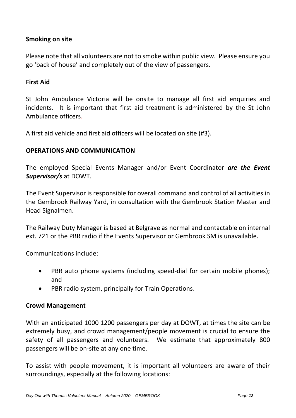## <span id="page-11-0"></span>**Smoking on site**

Please note that all volunteers are not to smoke within public view. Please ensure you go 'back of house' and completely out of the view of passengers.

#### <span id="page-11-1"></span>**First Aid**

St John Ambulance Victoria will be onsite to manage all first aid enquiries and incidents. It is important that first aid treatment is administered by the St John Ambulance officers.

A first aid vehicle and first aid officers will be located on site (#3).

## <span id="page-11-2"></span>**OPERATIONS AND COMMUNICATION**

The employed Special Events Manager and/or Event Coordinator *are the Event Supervisor/s* at DOWT.

The Event Supervisor is responsible for overall command and control of all activities in the Gembrook Railway Yard, in consultation with the Gembrook Station Master and Head Signalmen.

The Railway Duty Manager is based at Belgrave as normal and contactable on internal ext. 721 or the PBR radio if the Events Supervisor or Gembrook SM is unavailable.

Communications include:

- PBR auto phone systems (including speed-dial for certain mobile phones); and
- PBR radio system, principally for Train Operations.

#### <span id="page-11-3"></span>**Crowd Management**

With an anticipated 1000 1200 passengers per day at DOWT, at times the site can be extremely busy, and crowd management/people movement is crucial to ensure the safety of all passengers and volunteers. We estimate that approximately 800 passengers will be on-site at any one time.

To assist with people movement, it is important all volunteers are aware of their surroundings, especially at the following locations: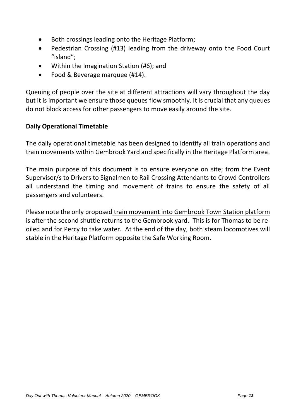- Both crossings leading onto the Heritage Platform;
- Pedestrian Crossing (#13) leading from the driveway onto the Food Court "island";
- Within the Imagination Station (#6); and
- Food & Beverage marquee (#14).

Queuing of people over the site at different attractions will vary throughout the day but it is important we ensure those queues flow smoothly. It is crucial that any queues do not block access for other passengers to move easily around the site.

## <span id="page-12-0"></span>**Daily Operational Timetable**

The daily operational timetable has been designed to identify all train operations and train movements within Gembrook Yard and specifically in the Heritage Platform area.

The main purpose of this document is to ensure everyone on site; from the Event Supervisor/s to Drivers to Signalmen to Rail Crossing Attendants to Crowd Controllers all understand the timing and movement of trains to ensure the safety of all passengers and volunteers.

Please note the only proposed train movement into Gembrook Town Station platform is after the second shuttle returns to the Gembrook yard. This is for Thomas to be reoiled and for Percy to take water. At the end of the day, both steam locomotives will stable in the Heritage Platform opposite the Safe Working Room.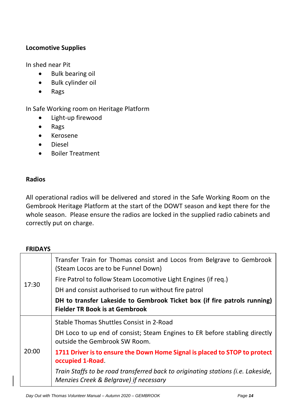## <span id="page-13-0"></span>**Locomotive Supplies**

In shed near Pit

- Bulk bearing oil
- Bulk cylinder oil
- Rags

In Safe Working room on Heritage Platform

- Light-up firewood
- Rags
- Kerosene
- Diesel
- Boiler Treatment

## <span id="page-13-1"></span>**Radios**

All operational radios will be delivered and stored in the Safe Working Room on the Gembrook Heritage Platform at the start of the DOWT season and kept there for the whole season. Please ensure the radios are locked in the supplied radio cabinets and correctly put on charge.

#### <span id="page-13-2"></span>**FRIDAYS**

| 17:30 | Transfer Train for Thomas consist and Locos from Belgrave to Gembrook<br>(Steam Locos are to be Funnel Down)               |
|-------|----------------------------------------------------------------------------------------------------------------------------|
|       | Fire Patrol to follow Steam Locomotive Light Engines (if req.)                                                             |
|       | DH and consist authorised to run without fire patrol                                                                       |
|       | DH to transfer Lakeside to Gembrook Ticket box (if fire patrols running)<br><b>Fielder TR Book is at Gembrook</b>          |
| 20:00 | Stable Thomas Shuttles Consist in 2-Road                                                                                   |
|       | DH Loco to up end of consist; Steam Engines to ER before stabling directly<br>outside the Gembrook SW Room.                |
|       | 1711 Driver is to ensure the Down Home Signal is placed to STOP to protect<br>occupied 1-Road.                             |
|       | Train Staffs to be road transferred back to originating stations (i.e. Lakeside,<br>Menzies Creek & Belgrave) if necessary |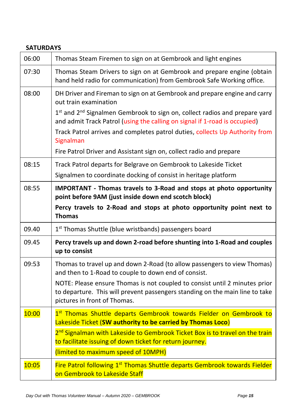## <span id="page-14-0"></span>**SATURDAYS**

| 06:00 | Thomas Steam Firemen to sign on at Gembrook and light engines                                                                                                                              |
|-------|--------------------------------------------------------------------------------------------------------------------------------------------------------------------------------------------|
| 07:30 | Thomas Steam Drivers to sign on at Gembrook and prepare engine (obtain<br>hand held radio for communication) from Gembrook Safe Working office.                                            |
| 08:00 | DH Driver and Fireman to sign on at Gembrook and prepare engine and carry<br>out train examination                                                                                         |
|       | 1st and 2 <sup>nd</sup> Signalmen Gembrook to sign on, collect radios and prepare yard<br>and admit Track Patrol (using the calling on signal if 1-road is occupied)                       |
|       | Track Patrol arrives and completes patrol duties, collects Up Authority from<br>Signalman                                                                                                  |
|       | Fire Patrol Driver and Assistant sign on, collect radio and prepare                                                                                                                        |
| 08:15 | Track Patrol departs for Belgrave on Gembrook to Lakeside Ticket<br>Signalmen to coordinate docking of consist in heritage platform                                                        |
| 08:55 | IMPORTANT - Thomas travels to 3-Road and stops at photo opportunity<br>point before 9AM (just inside down end scotch block)                                                                |
|       | Percy travels to 2-Road and stops at photo opportunity point next to<br><b>Thomas</b>                                                                                                      |
| 09.40 | 1 <sup>st</sup> Thomas Shuttle (blue wristbands) passengers board                                                                                                                          |
| 09.45 | Percy travels up and down 2-road before shunting into 1-Road and couples<br>up to consist                                                                                                  |
| 09:53 | Thomas to travel up and down 2-Road (to allow passengers to view Thomas)<br>and then to 1-Road to couple to down end of consist.                                                           |
|       | NOTE: Please ensure Thomas is not coupled to consist until 2 minutes prior<br>to departure. This will prevent passengers standing on the main line to take<br>pictures in front of Thomas. |
| 10:00 | 1st Thomas Shuttle departs Gembrook towards Fielder on Gembrook to<br>Lakeside Ticket (SW authority to be carried by Thomas Loco)                                                          |
|       | 2 <sup>nd</sup> Signalman with Lakeside to Gembrook Ticket Box is to travel on the train<br>to facilitate issuing of down ticket for return journey.                                       |
|       | (limited to maximum speed of 10MPH)                                                                                                                                                        |
| 10:05 | Fire Patrol following 1st Thomas Shuttle departs Gembrook towards Fielder<br>on Gembrook to Lakeside Staff                                                                                 |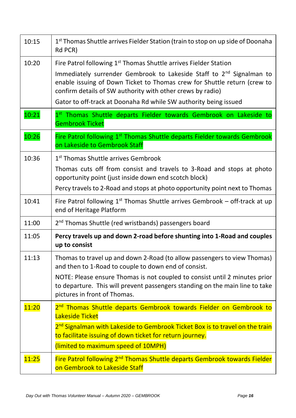| 10:15 | 1 <sup>st</sup> Thomas Shuttle arrives Fielder Station (train to stop on up side of Doonaha<br>Rd PCR)                                                                                                                                                                                                                                                                         |
|-------|--------------------------------------------------------------------------------------------------------------------------------------------------------------------------------------------------------------------------------------------------------------------------------------------------------------------------------------------------------------------------------|
| 10:20 | Fire Patrol following 1 <sup>st</sup> Thomas Shuttle arrives Fielder Station<br>Immediately surrender Gembrook to Lakeside Staff to 2 <sup>nd</sup> Signalman to<br>enable issuing of Down Ticket to Thomas crew for Shuttle return (crew to<br>confirm details of SW authority with other crews by radio)<br>Gator to off-track at Doonaha Rd while SW authority being issued |
| 10:21 | 1st Thomas Shuttle departs Fielder towards Gembrook on Lakeside to<br><b>Gembrook Ticket</b>                                                                                                                                                                                                                                                                                   |
| 10:26 | Fire Patrol following 1st Thomas Shuttle departs Fielder towards Gembrook<br>on Lakeside to Gembrook Staff                                                                                                                                                                                                                                                                     |
| 10:36 | 1 <sup>st</sup> Thomas Shuttle arrives Gembrook<br>Thomas cuts off from consist and travels to 3-Road and stops at photo<br>opportunity point (just inside down end scotch block)<br>Percy travels to 2-Road and stops at photo opportunity point next to Thomas                                                                                                               |
| 10:41 | Fire Patrol following $1st$ Thomas Shuttle arrives Gembrook – off-track at up<br>end of Heritage Platform                                                                                                                                                                                                                                                                      |
| 11:00 | 2 <sup>nd</sup> Thomas Shuttle (red wristbands) passengers board                                                                                                                                                                                                                                                                                                               |
| 11:05 | Percy travels up and down 2-road before shunting into 1-Road and couples<br>up to consist                                                                                                                                                                                                                                                                                      |
| 11:13 | Thomas to travel up and down 2-Road (to allow passengers to view Thomas)<br>and then to 1-Road to couple to down end of consist.<br>NOTE: Please ensure Thomas is not coupled to consist until 2 minutes prior                                                                                                                                                                 |
|       | to departure. This will prevent passengers standing on the main line to take<br>pictures in front of Thomas.                                                                                                                                                                                                                                                                   |
| 11:20 | 2 <sup>nd</sup> Thomas Shuttle departs Gembrook towards Fielder on Gembrook to<br>Lakeside Ticket<br>2 <sup>nd</sup> Signalman with Lakeside to Gembrook Ticket Box is to travel on the train                                                                                                                                                                                  |
|       | to facilitate issuing of down ticket for return journey.<br>(limited to maximum speed of 10MPH)                                                                                                                                                                                                                                                                                |
| 11:25 | Fire Patrol following 2 <sup>nd</sup> Thomas Shuttle departs Gembrook towards Fielder                                                                                                                                                                                                                                                                                          |
|       | on Gembrook to Lakeside Staff                                                                                                                                                                                                                                                                                                                                                  |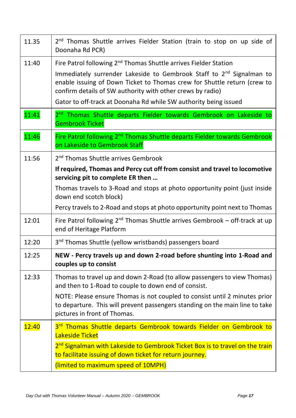| 11.35 | 2 <sup>nd</sup> Thomas Shuttle arrives Fielder Station (train to stop on up side of<br>Doonaha Rd PCR)                                                                                                                                                                                                                                                                         |
|-------|--------------------------------------------------------------------------------------------------------------------------------------------------------------------------------------------------------------------------------------------------------------------------------------------------------------------------------------------------------------------------------|
| 11:40 | Fire Patrol following 2 <sup>nd</sup> Thomas Shuttle arrives Fielder Station<br>Immediately surrender Lakeside to Gembrook Staff to 2 <sup>nd</sup> Signalman to<br>enable issuing of Down Ticket to Thomas crew for Shuttle return (crew to<br>confirm details of SW authority with other crews by radio)<br>Gator to off-track at Doonaha Rd while SW authority being issued |
| 11:41 | 2 <sup>nd</sup> Thomas Shuttle departs Fielder towards Gembrook on Lakeside to<br><b>Gembrook Ticket</b>                                                                                                                                                                                                                                                                       |
| 11:46 | Fire Patrol following 2 <sup>nd</sup> Thomas Shuttle departs Fielder towards Gembrook<br>on Lakeside to Gembrook Staff                                                                                                                                                                                                                                                         |
| 11:56 | 2 <sup>nd</sup> Thomas Shuttle arrives Gembrook                                                                                                                                                                                                                                                                                                                                |
|       | If required, Thomas and Percy cut off from consist and travel to locomotive<br>servicing pit to complete ER then                                                                                                                                                                                                                                                               |
|       | Thomas travels to 3-Road and stops at photo opportunity point (just inside<br>down end scotch block)                                                                                                                                                                                                                                                                           |
|       | Percy travels to 2-Road and stops at photo opportunity point next to Thomas                                                                                                                                                                                                                                                                                                    |
| 12:01 | Fire Patrol following 2 <sup>nd</sup> Thomas Shuttle arrives Gembrook - off-track at up<br>end of Heritage Platform                                                                                                                                                                                                                                                            |
| 12:20 | 3 <sup>nd</sup> Thomas Shuttle (yellow wristbands) passengers board                                                                                                                                                                                                                                                                                                            |
| 12:25 | NEW - Percy travels up and down 2-road before shunting into 1-Road and<br>couples up to consist                                                                                                                                                                                                                                                                                |
| 12:33 | Thomas to travel up and down 2-Road (to allow passengers to view Thomas)<br>and then to 1-Road to couple to down end of consist.                                                                                                                                                                                                                                               |
|       | NOTE: Please ensure Thomas is not coupled to consist until 2 minutes prior<br>to departure. This will prevent passengers standing on the main line to take<br>pictures in front of Thomas.                                                                                                                                                                                     |
| 12:40 | 3rd Thomas Shuttle departs Gembrook towards Fielder on Gembrook to<br>Lakeside Ticket                                                                                                                                                                                                                                                                                          |
|       | 2 <sup>nd</sup> Signalman with Lakeside to Gembrook Ticket Box is to travel on the train<br>to facilitate issuing of down ticket for return journey.                                                                                                                                                                                                                           |
|       | (limited to maximum speed of 10MPH)                                                                                                                                                                                                                                                                                                                                            |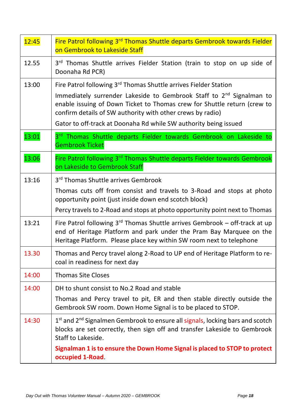| 12:45 | Fire Patrol following 3rd Thomas Shuttle departs Gembrook towards Fielder<br>on Gembrook to Lakeside Staff                                                                                                                 |
|-------|----------------------------------------------------------------------------------------------------------------------------------------------------------------------------------------------------------------------------|
| 12.55 | 3rd Thomas Shuttle arrives Fielder Station (train to stop on up side of<br>Doonaha Rd PCR)                                                                                                                                 |
| 13:00 | Fire Patrol following 3rd Thomas Shuttle arrives Fielder Station                                                                                                                                                           |
|       | Immediately surrender Lakeside to Gembrook Staff to 2 <sup>nd</sup> Signalman to<br>enable issuing of Down Ticket to Thomas crew for Shuttle return (crew to<br>confirm details of SW authority with other crews by radio) |
|       | Gator to off-track at Doonaha Rd while SW authority being issued                                                                                                                                                           |
| 13:01 | 3rd Thomas Shuttle departs Fielder towards Gembrook on Lakeside to<br><b>Gembrook Ticket</b>                                                                                                                               |
| 13:06 | Fire Patrol following 3rd Thomas Shuttle departs Fielder towards Gembrook<br>on Lakeside to Gembrook Staff                                                                                                                 |
| 13:16 | 3rd Thomas Shuttle arrives Gembrook                                                                                                                                                                                        |
|       | Thomas cuts off from consist and travels to 3-Road and stops at photo<br>opportunity point (just inside down end scotch block)                                                                                             |
|       | Percy travels to 2-Road and stops at photo opportunity point next to Thomas                                                                                                                                                |
| 13:21 | Fire Patrol following 3rd Thomas Shuttle arrives Gembrook - off-track at up<br>end of Heritage Platform and park under the Pram Bay Marquee on the<br>Heritage Platform. Please place key within SW room next to telephone |
| 13.30 | Thomas and Percy travel along 2-Road to UP end of Heritage Platform to re-<br>coal in readiness for next day                                                                                                               |
| 14:00 | <b>Thomas Site Closes</b>                                                                                                                                                                                                  |
| 14:00 | DH to shunt consist to No.2 Road and stable                                                                                                                                                                                |
|       | Thomas and Percy travel to pit, ER and then stable directly outside the<br>Gembrook SW room. Down Home Signal is to be placed to STOP.                                                                                     |
| 14:30 | 1st and 2 <sup>nd</sup> Signalmen Gembrook to ensure all signals, locking bars and scotch<br>blocks are set correctly, then sign off and transfer Lakeside to Gembrook<br>Staff to Lakeside.                               |
|       | Signalman 1 is to ensure the Down Home Signal is placed to STOP to protect<br>occupied 1-Road                                                                                                                              |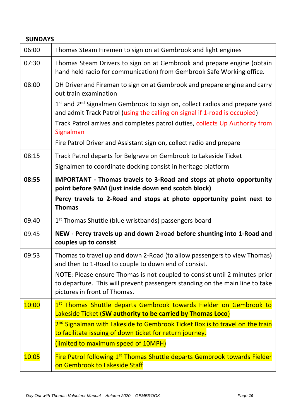<span id="page-18-0"></span>

| <b>SUNDAYS</b> |                                                                                                                                                                                                                                                                                                                                                            |  |
|----------------|------------------------------------------------------------------------------------------------------------------------------------------------------------------------------------------------------------------------------------------------------------------------------------------------------------------------------------------------------------|--|
| 06:00          | Thomas Steam Firemen to sign on at Gembrook and light engines                                                                                                                                                                                                                                                                                              |  |
| 07:30          | Thomas Steam Drivers to sign on at Gembrook and prepare engine (obtain<br>hand held radio for communication) from Gembrook Safe Working office.                                                                                                                                                                                                            |  |
| 08:00          | DH Driver and Fireman to sign on at Gembrook and prepare engine and carry<br>out train examination<br>1st and 2 <sup>nd</sup> Signalmen Gembrook to sign on, collect radios and prepare yard<br>and admit Track Patrol (using the calling on signal if 1-road is occupied)<br>Track Patrol arrives and completes patrol duties, collects Up Authority from |  |
|                | Signalman                                                                                                                                                                                                                                                                                                                                                  |  |
|                | Fire Patrol Driver and Assistant sign on, collect radio and prepare                                                                                                                                                                                                                                                                                        |  |
| 08:15          | Track Patrol departs for Belgrave on Gembrook to Lakeside Ticket                                                                                                                                                                                                                                                                                           |  |
|                | Signalmen to coordinate docking consist in heritage platform                                                                                                                                                                                                                                                                                               |  |
| 08:55          | IMPORTANT - Thomas travels to 3-Road and stops at photo opportunity<br>point before 9AM (just inside down end scotch block)<br>Percy travels to 2-Road and stops at photo opportunity point next to<br><b>Thomas</b>                                                                                                                                       |  |
| 09.40          | 1 <sup>st</sup> Thomas Shuttle (blue wristbands) passengers board                                                                                                                                                                                                                                                                                          |  |
| 09.45          | NEW - Percy travels up and down 2-road before shunting into 1-Road and<br>couples up to consist                                                                                                                                                                                                                                                            |  |
| 09:53          | Thomas to travel up and down 2-Road (to allow passengers to view Thomas)<br>and then to 1-Road to couple to down end of consist.<br>NOTE: Please ensure Thomas is not coupled to consist until 2 minutes prior<br>to departure. This will prevent passengers standing on the main line to take<br>pictures in front of Thomas.                             |  |
| 10:00          | 1st Thomas Shuttle departs Gembrook towards Fielder on Gembrook to<br>Lakeside Ticket (SW authority to be carried by Thomas Loco)<br>2 <sup>nd</sup> Signalman with Lakeside to Gembrook Ticket Box is to travel on the train<br>to facilitate issuing of down ticket for return journey.<br>(limited to maximum speed of 10MPH)                           |  |
| 10:05          | Fire Patrol following 1 <sup>st</sup> Thomas Shuttle departs Gembrook towards Fielder<br>on Gembrook to Lakeside Staff                                                                                                                                                                                                                                     |  |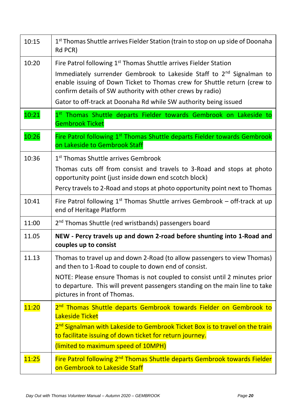| 10:15 | 1 <sup>st</sup> Thomas Shuttle arrives Fielder Station (train to stop on up side of Doonaha<br>Rd PCR)                                                                                                                                                                                                                                                                         |
|-------|--------------------------------------------------------------------------------------------------------------------------------------------------------------------------------------------------------------------------------------------------------------------------------------------------------------------------------------------------------------------------------|
| 10:20 | Fire Patrol following 1 <sup>st</sup> Thomas Shuttle arrives Fielder Station<br>Immediately surrender Gembrook to Lakeside Staff to 2 <sup>nd</sup> Signalman to<br>enable issuing of Down Ticket to Thomas crew for Shuttle return (crew to<br>confirm details of SW authority with other crews by radio)<br>Gator to off-track at Doonaha Rd while SW authority being issued |
| 10:21 | 1st Thomas Shuttle departs Fielder towards Gembrook on Lakeside to<br><b>Gembrook Ticket</b>                                                                                                                                                                                                                                                                                   |
| 10:26 | Fire Patrol following 1st Thomas Shuttle departs Fielder towards Gembrook<br>on Lakeside to Gembrook Staff                                                                                                                                                                                                                                                                     |
| 10:36 | 1 <sup>st</sup> Thomas Shuttle arrives Gembrook<br>Thomas cuts off from consist and travels to 3-Road and stops at photo<br>opportunity point (just inside down end scotch block)<br>Percy travels to 2-Road and stops at photo opportunity point next to Thomas                                                                                                               |
| 10:41 | Fire Patrol following $1st$ Thomas Shuttle arrives Gembrook – off-track at up<br>end of Heritage Platform                                                                                                                                                                                                                                                                      |
| 11:00 | 2 <sup>nd</sup> Thomas Shuttle (red wristbands) passengers board                                                                                                                                                                                                                                                                                                               |
| 11.05 | NEW - Percy travels up and down 2-road before shunting into 1-Road and<br>couples up to consist                                                                                                                                                                                                                                                                                |
| 11.13 | Thomas to travel up and down 2-Road (to allow passengers to view Thomas)<br>and then to 1-Road to couple to down end of consist.<br>NOTE: Please ensure Thomas is not coupled to consist until 2 minutes prior<br>to departure. This will prevent passengers standing on the main line to take                                                                                 |
|       | pictures in front of Thomas.                                                                                                                                                                                                                                                                                                                                                   |
| 11:20 | 2 <sup>nd</sup> Thomas Shuttle departs Gembrook towards Fielder on Gembrook to<br>Lakeside Ticket<br>2 <sup>nd</sup> Signalman with Lakeside to Gembrook Ticket Box is to travel on the train<br>to facilitate issuing of down ticket for return journey.<br>(limited to maximum speed of 10MPH)                                                                               |
| 11:25 | Fire Patrol following 2 <sup>nd</sup> Thomas Shuttle departs Gembrook towards Fielder<br>on Gembrook to Lakeside Staff                                                                                                                                                                                                                                                         |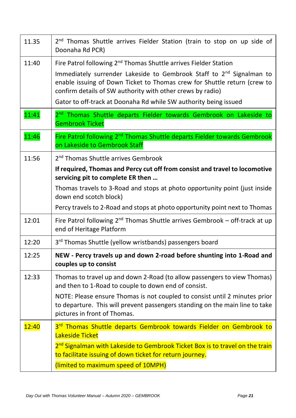| 11.35 | 2 <sup>nd</sup> Thomas Shuttle arrives Fielder Station (train to stop on up side of<br>Doonaha Rd PCR)                                                                                                                                                                                                                                                                         |
|-------|--------------------------------------------------------------------------------------------------------------------------------------------------------------------------------------------------------------------------------------------------------------------------------------------------------------------------------------------------------------------------------|
| 11:40 | Fire Patrol following 2 <sup>nd</sup> Thomas Shuttle arrives Fielder Station<br>Immediately surrender Lakeside to Gembrook Staff to 2 <sup>nd</sup> Signalman to<br>enable issuing of Down Ticket to Thomas crew for Shuttle return (crew to<br>confirm details of SW authority with other crews by radio)<br>Gator to off-track at Doonaha Rd while SW authority being issued |
| 11:41 | 2 <sup>nd</sup> Thomas Shuttle departs Fielder towards Gembrook on Lakeside to<br><b>Gembrook Ticket</b>                                                                                                                                                                                                                                                                       |
| 11:46 | Fire Patrol following 2 <sup>nd</sup> Thomas Shuttle departs Fielder towards Gembrook<br>on Lakeside to Gembrook Staff                                                                                                                                                                                                                                                         |
| 11:56 | 2 <sup>nd</sup> Thomas Shuttle arrives Gembrook<br>If required, Thomas and Percy cut off from consist and travel to locomotive<br>servicing pit to complete ER then                                                                                                                                                                                                            |
|       | Thomas travels to 3-Road and stops at photo opportunity point (just inside<br>down end scotch block)                                                                                                                                                                                                                                                                           |
|       | Percy travels to 2-Road and stops at photo opportunity point next to Thomas                                                                                                                                                                                                                                                                                                    |
| 12:01 | Fire Patrol following 2 <sup>nd</sup> Thomas Shuttle arrives Gembrook - off-track at up<br>end of Heritage Platform                                                                                                                                                                                                                                                            |
| 12:20 | 3 <sup>rd</sup> Thomas Shuttle (yellow wristbands) passengers board                                                                                                                                                                                                                                                                                                            |
| 12:25 | NEW - Percy travels up and down 2-road before shunting into 1-Road and<br>couples up to consist                                                                                                                                                                                                                                                                                |
| 12:33 | Thomas to travel up and down 2-Road (to allow passengers to view Thomas)<br>and then to 1-Road to couple to down end of consist.                                                                                                                                                                                                                                               |
|       | NOTE: Please ensure Thomas is not coupled to consist until 2 minutes prior<br>to departure. This will prevent passengers standing on the main line to take<br>pictures in front of Thomas.                                                                                                                                                                                     |
| 12:40 | 3rd Thomas Shuttle departs Gembrook towards Fielder on Gembrook to<br>Lakeside Ticket                                                                                                                                                                                                                                                                                          |
|       | 2 <sup>nd</sup> Signalman with Lakeside to Gembrook Ticket Box is to travel on the train<br>to facilitate issuing of down ticket for return journey.                                                                                                                                                                                                                           |
|       | (limited to maximum speed of 10MPH)                                                                                                                                                                                                                                                                                                                                            |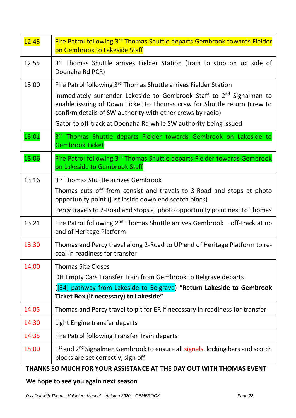| 12:45 | Fire Patrol following 3 <sup>rd</sup> Thomas Shuttle departs Gembrook towards Fielder<br>on Gembrook to Lakeside Staff                               |
|-------|------------------------------------------------------------------------------------------------------------------------------------------------------|
| 12.55 | 3rd Thomas Shuttle arrives Fielder Station (train to stop on up side of<br>Doonaha Rd PCR)                                                           |
| 13:00 | Fire Patrol following 3rd Thomas Shuttle arrives Fielder Station<br>Immediately surrender Lakeside to Gembrook Staff to 2 <sup>nd</sup> Signalman to |
|       | enable issuing of Down Ticket to Thomas crew for Shuttle return (crew to<br>confirm details of SW authority with other crews by radio)               |
|       | Gator to off-track at Doonaha Rd while SW authority being issued                                                                                     |
| 13:01 | 3rd Thomas Shuttle departs Fielder towards Gembrook on Lakeside to<br><b>Gembrook Ticket</b>                                                         |
| 13:06 | Fire Patrol following 3rd Thomas Shuttle departs Fielder towards Gembrook<br>on Lakeside to Gembrook Staff                                           |
| 13:16 | 3rd Thomas Shuttle arrives Gembrook                                                                                                                  |
|       | Thomas cuts off from consist and travels to 3-Road and stops at photo<br>opportunity point (just inside down end scotch block)                       |
|       | Percy travels to 2-Road and stops at photo opportunity point next to Thomas                                                                          |
| 13:21 | Fire Patrol following 2 <sup>nd</sup> Thomas Shuttle arrives Gembrook - off-track at up<br>end of Heritage Platform                                  |
| 13.30 | Thomas and Percy travel along 2-Road to UP end of Heritage Platform to re-<br>coal in readiness for transfer                                         |
| 14:00 | <b>Thomas Site Closes</b>                                                                                                                            |
|       | DH Empty Cars Transfer Train from Gembrook to Belgrave departs                                                                                       |
|       | ([34] pathway from Lakeside to Belgrave) "Return Lakeside to Gembrook<br>Ticket Box (if necessary) to Lakeside"                                      |
| 14.05 | Thomas and Percy travel to pit for ER if necessary in readiness for transfer                                                                         |
| 14:30 | Light Engine transfer departs                                                                                                                        |
| 14:35 | Fire Patrol following Transfer Train departs                                                                                                         |
| 15:00 | 1st and 2 <sup>nd</sup> Signalmen Gembrook to ensure all signals, locking bars and scotch<br>blocks are set correctly, sign off.                     |

## **THANKS SO MUCH FOR YOUR ASSISTANCE AT THE DAY OUT WITH THOMAS EVENT**

## **We hope to see you again next season**